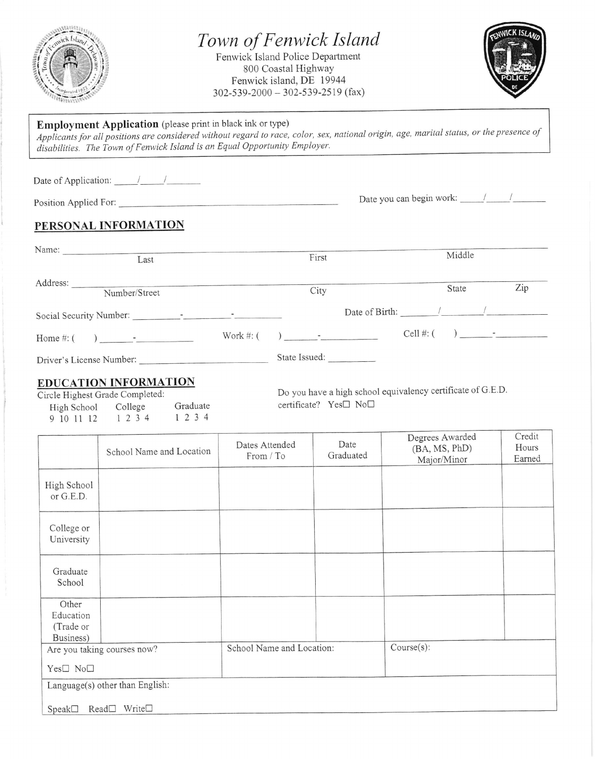

## Town of Fenwick Island

Fenwick lsland Police Department 800 Coastal Highway Fenwick island, DE 19944  $302 - 539 - 2000 - 302 - 539 - 2519$  (fax)



## Employment Application (please print in black ink or type)

**Employment Application** (please plate at each all of type)<br>Applicants for all positions are considered without regard to race, color, sex, national origin, age, marital status, or the presence of disabilities. The Town of Fenwick Island is an Equal Opportunity Employer.

| Date of Application: $\frac{1}{\sqrt{1-\frac{1}{2}}}\frac{1}{\sqrt{1-\frac{1}{2}}}\frac{1}{\sqrt{1-\frac{1}{2}}}\frac{1}{\sqrt{1-\frac{1}{2}}}\frac{1}{\sqrt{1-\frac{1}{2}}}\frac{1}{\sqrt{1-\frac{1}{2}}}\frac{1}{\sqrt{1-\frac{1}{2}}}\frac{1}{\sqrt{1-\frac{1}{2}}}\frac{1}{\sqrt{1-\frac{1}{2}}}\frac{1}{\sqrt{1-\frac{1}{2}}}\frac{1}{\sqrt{1-\frac{1}{2}}}\frac{1}{\sqrt{1-\frac{1}{2}}}\frac{1}{\sqrt$ |               |                                                                                                                                                                                                                                                                                               |                                        |     |
|---------------------------------------------------------------------------------------------------------------------------------------------------------------------------------------------------------------------------------------------------------------------------------------------------------------------------------------------------------------------------------------------------------------|---------------|-----------------------------------------------------------------------------------------------------------------------------------------------------------------------------------------------------------------------------------------------------------------------------------------------|----------------------------------------|-----|
| Position Applied For:                                                                                                                                                                                                                                                                                                                                                                                         |               |                                                                                                                                                                                                                                                                                               |                                        |     |
| PERSONAL INFORMATION                                                                                                                                                                                                                                                                                                                                                                                          |               |                                                                                                                                                                                                                                                                                               |                                        |     |
| Name:<br>Last                                                                                                                                                                                                                                                                                                                                                                                                 |               | First                                                                                                                                                                                                                                                                                         | Middle                                 |     |
| Number/Street                                                                                                                                                                                                                                                                                                                                                                                                 |               | City                                                                                                                                                                                                                                                                                          | State                                  | Zip |
|                                                                                                                                                                                                                                                                                                                                                                                                               |               |                                                                                                                                                                                                                                                                                               | Date of Birth: $\frac{1}{\sqrt{2\pi}}$ |     |
|                                                                                                                                                                                                                                                                                                                                                                                                               | Work $\#$ : ( | ) and $\frac{1}{2}$ and $\frac{1}{2}$ and $\frac{1}{2}$ and $\frac{1}{2}$ and $\frac{1}{2}$ and $\frac{1}{2}$ and $\frac{1}{2}$ and $\frac{1}{2}$ and $\frac{1}{2}$ and $\frac{1}{2}$ and $\frac{1}{2}$ and $\frac{1}{2}$ and $\frac{1}{2}$ and $\frac{1}{2}$ and $\frac{1}{2}$ and $\frac{1$ | Cell #: $($ $)$ $-$                    |     |
| Driver's License Number:                                                                                                                                                                                                                                                                                                                                                                                      |               | State Issued:                                                                                                                                                                                                                                                                                 |                                        |     |

## EDUCATION INFORMATION

Circle Highest Grade Completed: High School College<br>9 10 11 12 1 2 3 4 9 10 11 12 1234

Do you have a high school equivalency certificate of G'E'D Graduate certificate?  $Yes \Box No \Box$ 

|                                              | School Name and Location        | Dates Attended<br>From / To | Date<br>Graduated | Degrees Awarded<br>(BA, MS, PhD)<br>Major/Minor | Credit<br>Hours<br>Earned |
|----------------------------------------------|---------------------------------|-----------------------------|-------------------|-------------------------------------------------|---------------------------|
| High School<br>or G.E.D.                     |                                 |                             |                   |                                                 |                           |
| College or<br>University                     |                                 |                             |                   |                                                 |                           |
| Graduate<br>School                           |                                 |                             |                   |                                                 |                           |
| Other<br>Education<br>(Trade or<br>Business) |                                 |                             |                   |                                                 |                           |
| Are you taking courses now?                  |                                 | School Name and Location:   |                   | Course(s):                                      |                           |
| Yes□ No□                                     |                                 |                             |                   |                                                 |                           |
|                                              | Language(s) other than English: |                             |                   |                                                 |                           |
| Speak <sup>1</sup>                           | Read□ Write□                    |                             |                   |                                                 |                           |